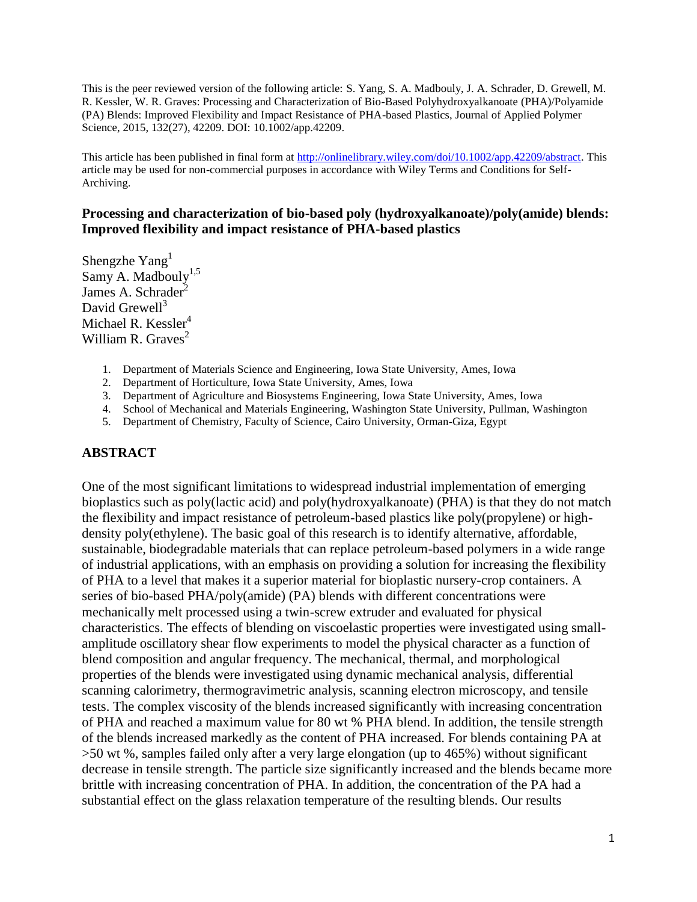This is the peer reviewed version of the following article: S. Yang, S. A. Madbouly, J. A. Schrader, D. Grewell, M. R. Kessler, W. R. Graves: Processing and Characterization of Bio-Based Polyhydroxyalkanoate (PHA)/Polyamide (PA) Blends: Improved Flexibility and Impact Resistance of PHA-based Plastics, Journal of Applied Polymer Science, 2015, 132(27), 42209. DOI: 10.1002/app.42209.

This article has been published in final form at http://onlinelibrary.wiley.com/doi/10.1002/app.42209/abstract. This article may be used for non-commercial purposes in accordance with Wiley Terms and Conditions for Self-Archiving.

### **Processing and characterization of bio-based poly (hydroxyalkanoate)/poly(amide) blends: Improved flexibility and impact resistance of PHA-based plastics**

Shengzhe  $Yang<sup>1</sup>$ Samy A. Madbouly<sup>1,5</sup> James A. Schrader<sup>2</sup> David Grewell $3$ Michael R. Kessler<sup>4</sup> William R. Graves $2$ 

- 1. Department of Materials Science and Engineering, Iowa State University, Ames, Iowa
- 2. Department of Horticulture, Iowa State University, Ames, Iowa
- 3. Department of Agriculture and Biosystems Engineering, Iowa State University, Ames, Iowa
- 4. School of Mechanical and Materials Engineering, Washington State University, Pullman, Washington
- 5. Department of Chemistry, Faculty of Science, Cairo University, Orman-Giza, Egypt

#### **ABSTRACT**

One of the most significant limitations to widespread industrial implementation of emerging bioplastics such as poly(lactic acid) and poly(hydroxyalkanoate) (PHA) is that they do not match the flexibility and impact resistance of petroleum-based plastics like poly(propylene) or highdensity poly(ethylene). The basic goal of this research is to identify alternative, affordable, sustainable, biodegradable materials that can replace petroleum-based polymers in a wide range of industrial applications, with an emphasis on providing a solution for increasing the flexibility of PHA to a level that makes it a superior material for bioplastic nursery-crop containers. A series of bio-based PHA/poly(amide) (PA) blends with different concentrations were mechanically melt processed using a twin-screw extruder and evaluated for physical characteristics. The effects of blending on viscoelastic properties were investigated using smallamplitude oscillatory shear flow experiments to model the physical character as a function of blend composition and angular frequency. The mechanical, thermal, and morphological properties of the blends were investigated using dynamic mechanical analysis, differential scanning calorimetry, thermogravimetric analysis, scanning electron microscopy, and tensile tests. The complex viscosity of the blends increased significantly with increasing concentration of PHA and reached a maximum value for 80 wt % PHA blend. In addition, the tensile strength of the blends increased markedly as the content of PHA increased. For blends containing PA at >50 wt %, samples failed only after a very large elongation (up to 465%) without significant decrease in tensile strength. The particle size significantly increased and the blends became more brittle with increasing concentration of PHA. In addition, the concentration of the PA had a substantial effect on the glass relaxation temperature of the resulting blends. Our results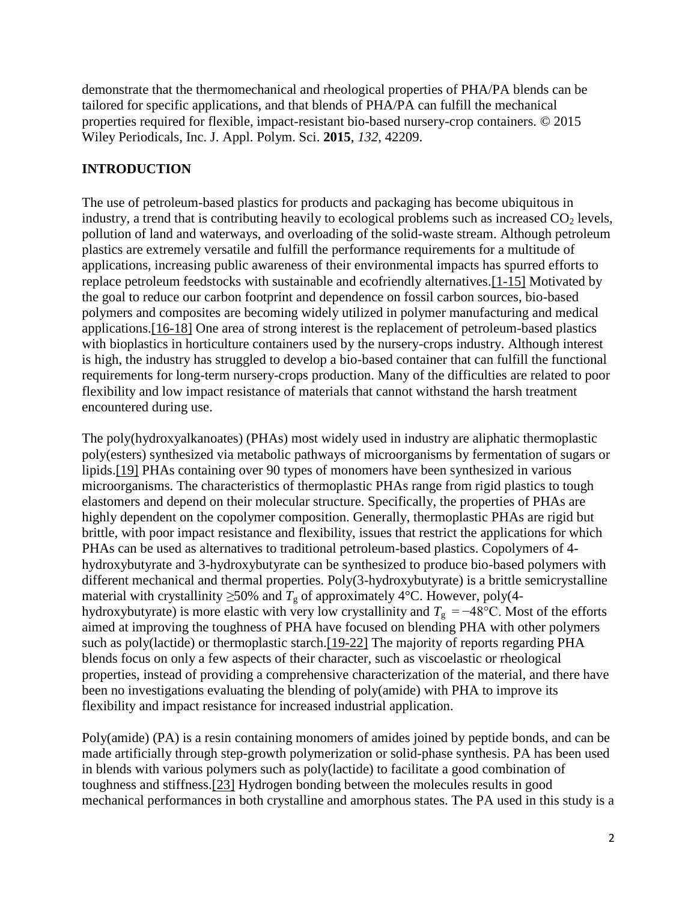demonstrate that the thermomechanical and rheological properties of PHA/PA blends can be tailored for specific applications, and that blends of PHA/PA can fulfill the mechanical properties required for flexible, impact-resistant bio-based nursery-crop containers. © 2015 Wiley Periodicals, Inc. J. Appl. Polym. Sci. **2015**, *132*, 42209.

# **INTRODUCTION**

The use of petroleum-based plastics for products and packaging has become ubiquitous in industry, a trend that is contributing heavily to ecological problems such as increased  $CO<sub>2</sub>$  levels, pollution of land and waterways, and overloading of the solid-waste stream. Although petroleum plastics are extremely versatile and fulfill the performance requirements for a multitude of applications, increasing public awareness of their environmental impacts has spurred efforts to replace petroleum feedstocks with sustainable and ecofriendly alternatives.[1-15] Motivated by the goal to reduce our carbon footprint and dependence on fossil carbon sources, bio-based polymers and composites are becoming widely utilized in polymer manufacturing and medical applications.[16-18] One area of strong interest is the replacement of petroleum-based plastics with bioplastics in horticulture containers used by the nursery-crops industry. Although interest is high, the industry has struggled to develop a bio-based container that can fulfill the functional requirements for long-term nursery-crops production. Many of the difficulties are related to poor flexibility and low impact resistance of materials that cannot withstand the harsh treatment encountered during use.

The poly(hydroxyalkanoates) (PHAs) most widely used in industry are aliphatic thermoplastic poly(esters) synthesized via metabolic pathways of microorganisms by fermentation of sugars or lipids.[19] PHAs containing over 90 types of monomers have been synthesized in various microorganisms. The characteristics of thermoplastic PHAs range from rigid plastics to tough elastomers and depend on their molecular structure. Specifically, the properties of PHAs are highly dependent on the copolymer composition. Generally, thermoplastic PHAs are rigid but brittle, with poor impact resistance and flexibility, issues that restrict the applications for which PHAs can be used as alternatives to traditional petroleum-based plastics. Copolymers of 4 hydroxybutyrate and 3-hydroxybutyrate can be synthesized to produce bio-based polymers with different mechanical and thermal properties. Poly(3-hydroxybutyrate) is a brittle semicrystalline material with crystallinity  $\geq 50\%$  and  $T_g$  of approximately 4°C. However, poly(4hydroxybutyrate) is more elastic with very low crystallinity and  $T_g = -48$ °C. Most of the efforts aimed at improving the toughness of PHA have focused on blending PHA with other polymers such as poly(lactide) or thermoplastic starch.[19-22] The majority of reports regarding PHA blends focus on only a few aspects of their character, such as viscoelastic or rheological properties, instead of providing a comprehensive characterization of the material, and there have been no investigations evaluating the blending of poly(amide) with PHA to improve its flexibility and impact resistance for increased industrial application.

Poly(amide) (PA) is a resin containing monomers of amides joined by peptide bonds, and can be made artificially through step-growth polymerization or solid-phase synthesis. PA has been used in blends with various polymers such as poly(lactide) to facilitate a good combination of toughness and stiffness.[23] Hydrogen bonding between the molecules results in good mechanical performances in both crystalline and amorphous states. The PA used in this study is a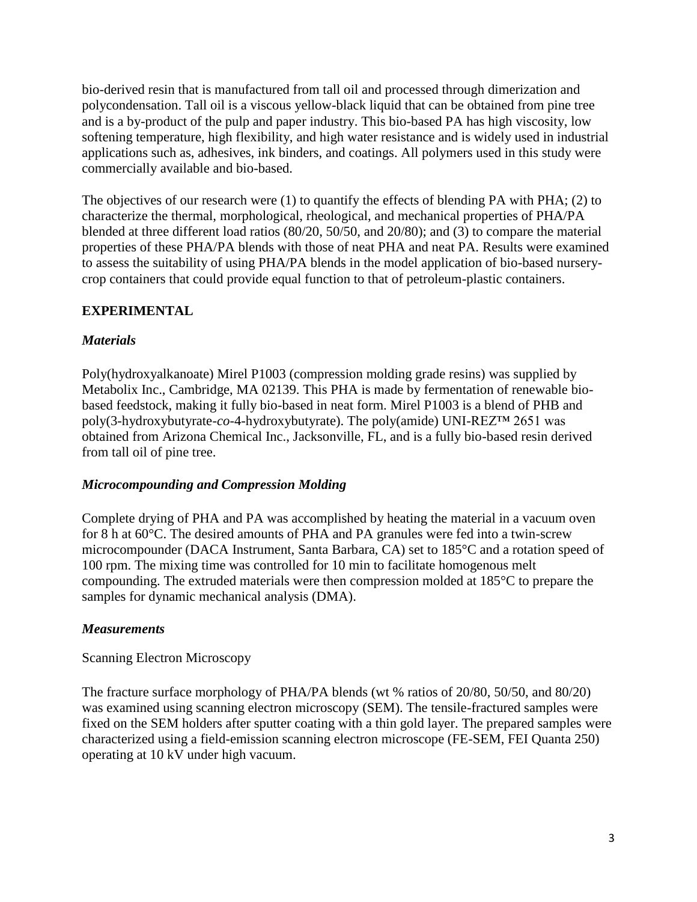bio-derived resin that is manufactured from tall oil and processed through dimerization and polycondensation. Tall oil is a viscous yellow-black liquid that can be obtained from pine tree and is a by-product of the pulp and paper industry. This bio-based PA has high viscosity, low softening temperature, high flexibility, and high water resistance and is widely used in industrial applications such as, adhesives, ink binders, and coatings. All polymers used in this study were commercially available and bio-based.

The objectives of our research were (1) to quantify the effects of blending PA with PHA; (2) to characterize the thermal, morphological, rheological, and mechanical properties of PHA/PA blended at three different load ratios (80/20, 50/50, and 20/80); and (3) to compare the material properties of these PHA/PA blends with those of neat PHA and neat PA. Results were examined to assess the suitability of using PHA/PA blends in the model application of bio-based nurserycrop containers that could provide equal function to that of petroleum-plastic containers.

# **EXPERIMENTAL**

### *Materials*

Poly(hydroxyalkanoate) Mirel P1003 (compression molding grade resins) was supplied by Metabolix Inc., Cambridge, MA 02139. This PHA is made by fermentation of renewable biobased feedstock, making it fully bio-based in neat form. Mirel P1003 is a blend of PHB and poly(3-hydroxybutyrate-*co*-4-hydroxybutyrate). The poly(amide) UNI-REZ™ 2651 was obtained from Arizona Chemical Inc., Jacksonville, FL, and is a fully bio-based resin derived from tall oil of pine tree.

### *Microcompounding and Compression Molding*

Complete drying of PHA and PA was accomplished by heating the material in a vacuum oven for 8 h at 60°C. The desired amounts of PHA and PA granules were fed into a twin-screw microcompounder (DACA Instrument, Santa Barbara, CA) set to 185°C and a rotation speed of 100 rpm. The mixing time was controlled for 10 min to facilitate homogenous melt compounding. The extruded materials were then compression molded at 185°C to prepare the samples for dynamic mechanical analysis (DMA).

### *Measurements*

### Scanning Electron Microscopy

The fracture surface morphology of PHA/PA blends (wt % ratios of 20/80, 50/50, and 80/20) was examined using scanning electron microscopy (SEM). The tensile-fractured samples were fixed on the SEM holders after sputter coating with a thin gold layer. The prepared samples were characterized using a field-emission scanning electron microscope (FE-SEM, FEI Quanta 250) operating at 10 kV under high vacuum.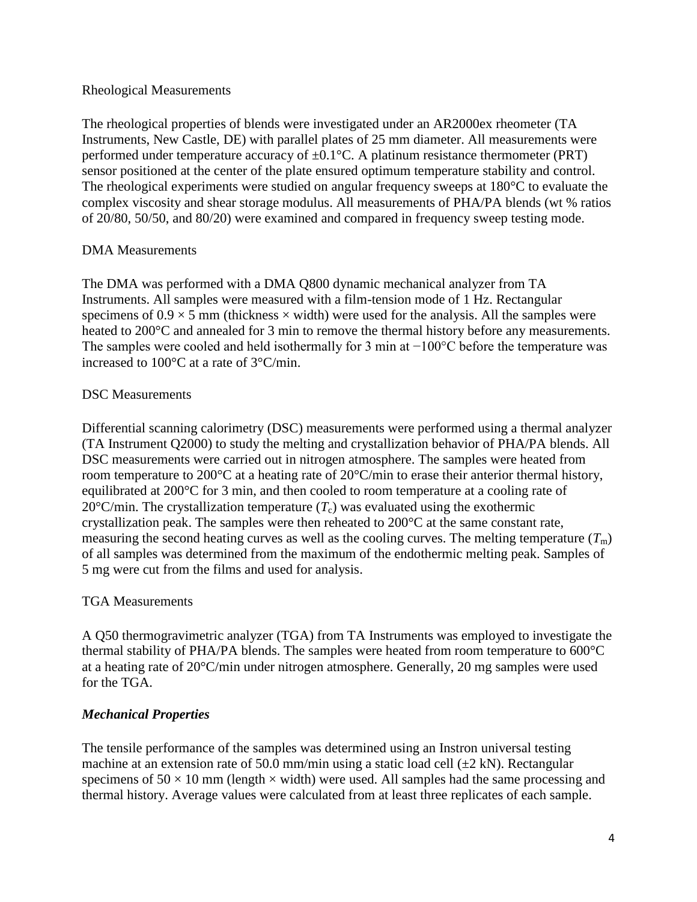### Rheological Measurements

The rheological properties of blends were investigated under an AR2000ex rheometer (TA Instruments, New Castle, DE) with parallel plates of 25 mm diameter. All measurements were performed under temperature accuracy of  $\pm 0.1$ °C. A platinum resistance thermometer (PRT) sensor positioned at the center of the plate ensured optimum temperature stability and control. The rheological experiments were studied on angular frequency sweeps at 180°C to evaluate the complex viscosity and shear storage modulus. All measurements of PHA/PA blends (wt % ratios of 20/80, 50/50, and 80/20) were examined and compared in frequency sweep testing mode.

## DMA Measurements

The DMA was performed with a DMA Q800 dynamic mechanical analyzer from TA Instruments. All samples were measured with a film-tension mode of 1 Hz. Rectangular specimens of  $0.9 \times 5$  mm (thickness  $\times$  width) were used for the analysis. All the samples were heated to 200°C and annealed for 3 min to remove the thermal history before any measurements. The samples were cooled and held isothermally for 3 min at −100°C before the temperature was increased to 100°C at a rate of 3°C/min.

## DSC Measurements

Differential scanning calorimetry (DSC) measurements were performed using a thermal analyzer (TA Instrument Q2000) to study the melting and crystallization behavior of PHA/PA blends. All DSC measurements were carried out in nitrogen atmosphere. The samples were heated from room temperature to 200°C at a heating rate of 20°C/min to erase their anterior thermal history, equilibrated at 200°C for 3 min, and then cooled to room temperature at a cooling rate of 20 $^{\circ}$ C/min. The crystallization temperature  $(T_c)$  was evaluated using the exothermic crystallization peak. The samples were then reheated to 200°C at the same constant rate, measuring the second heating curves as well as the cooling curves. The melting temperature  $(T<sub>m</sub>)$ of all samples was determined from the maximum of the endothermic melting peak. Samples of 5 mg were cut from the films and used for analysis.

## TGA Measurements

A Q50 thermogravimetric analyzer (TGA) from TA Instruments was employed to investigate the thermal stability of PHA/PA blends. The samples were heated from room temperature to 600°C at a heating rate of 20°C/min under nitrogen atmosphere. Generally, 20 mg samples were used for the TGA.

## *Mechanical Properties*

The tensile performance of the samples was determined using an Instron universal testing machine at an extension rate of 50.0 mm/min using a static load cell  $(\pm 2 \text{ kN})$ . Rectangular specimens of  $50 \times 10$  mm (length  $\times$  width) were used. All samples had the same processing and thermal history. Average values were calculated from at least three replicates of each sample.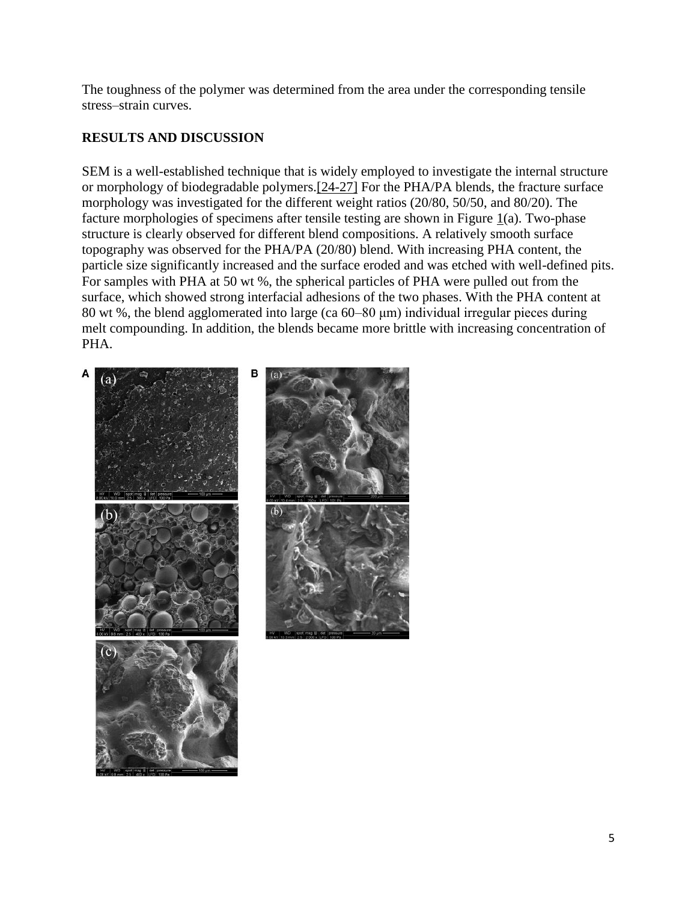The toughness of the polymer was determined from the area under the corresponding tensile stress–strain curves.

# **RESULTS AND DISCUSSION**

SEM is a well-established technique that is widely employed to investigate the internal structure or morphology of biodegradable polymers.[24-27] For the PHA/PA blends, the fracture surface morphology was investigated for the different weight ratios (20/80, 50/50, and 80/20). The facture morphologies of specimens after tensile testing are shown in Figure  $\mathbf{1}(a)$ . Two-phase structure is clearly observed for different blend compositions. A relatively smooth surface topography was observed for the PHA/PA (20/80) blend. With increasing PHA content, the particle size significantly increased and the surface eroded and was etched with well-defined pits. For samples with PHA at 50 wt %, the spherical particles of PHA were pulled out from the surface, which showed strong interfacial adhesions of the two phases. With the PHA content at 80 wt %, the blend agglomerated into large (ca 60–80 μm) individual irregular pieces during melt compounding. In addition, the blends became more brittle with increasing concentration of PHA.

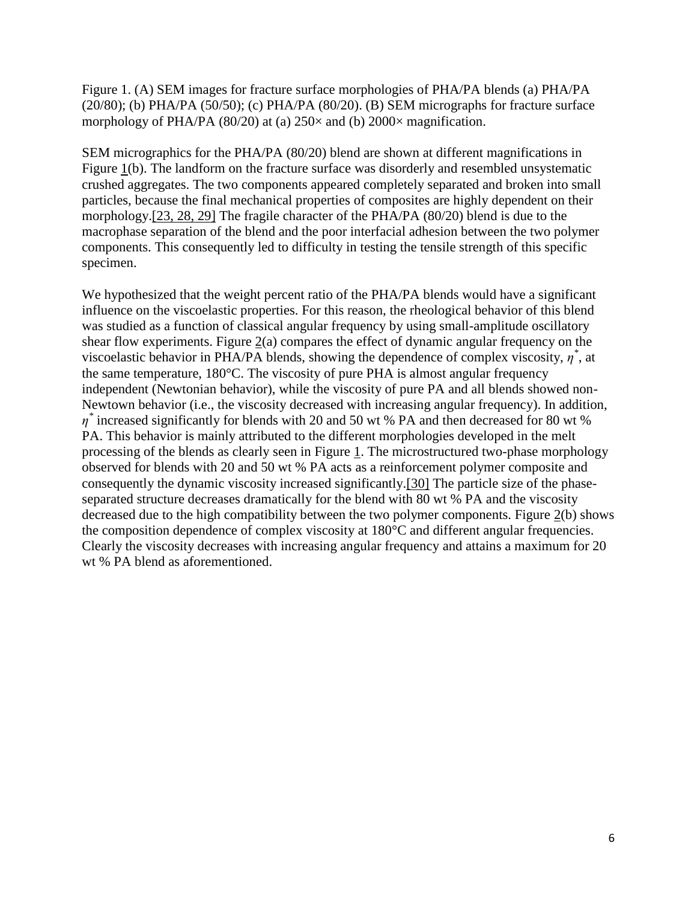Figure 1. (A) SEM images for fracture surface morphologies of PHA/PA blends (a) PHA/PA  $(20/80)$ ; (b) PHA/PA  $(50/50)$ ; (c) PHA/PA  $(80/20)$ . (B) SEM micrographs for fracture surface morphology of PHA/PA (80/20) at (a)  $250\times$  and (b)  $2000\times$  magnification.

SEM micrographics for the PHA/PA (80/20) blend are shown at different magnifications in Figure 1(b). The landform on the fracture surface was disorderly and resembled unsystematic crushed aggregates. The two components appeared completely separated and broken into small particles, because the final mechanical properties of composites are highly dependent on their morphology.[23, 28, 29] The fragile character of the PHA/PA (80/20) blend is due to the macrophase separation of the blend and the poor interfacial adhesion between the two polymer components. This consequently led to difficulty in testing the tensile strength of this specific specimen.

We hypothesized that the weight percent ratio of the PHA/PA blends would have a significant influence on the viscoelastic properties. For this reason, the rheological behavior of this blend was studied as a function of classical angular frequency by using small-amplitude oscillatory shear flow experiments. Figure 2(a) compares the effect of dynamic angular frequency on the viscoelastic behavior in PHA/PA blends, showing the dependence of complex viscosity,  $\eta^*$ , at the same temperature, 180°C. The viscosity of pure PHA is almost angular frequency independent (Newtonian behavior), while the viscosity of pure PA and all blends showed non-Newtown behavior (i.e., the viscosity decreased with increasing angular frequency). In addition, *η \** increased significantly for blends with 20 and 50 wt % PA and then decreased for 80 wt % PA. This behavior is mainly attributed to the different morphologies developed in the melt processing of the blends as clearly seen in Figure 1. The microstructured two-phase morphology observed for blends with 20 and 50 wt % PA acts as a reinforcement polymer composite and consequently the dynamic viscosity increased significantly.[30] The particle size of the phaseseparated structure decreases dramatically for the blend with 80 wt % PA and the viscosity decreased due to the high compatibility between the two polymer components. Figure 2(b) shows the composition dependence of complex viscosity at 180°C and different angular frequencies. Clearly the viscosity decreases with increasing angular frequency and attains a maximum for 20 wt % PA blend as aforementioned.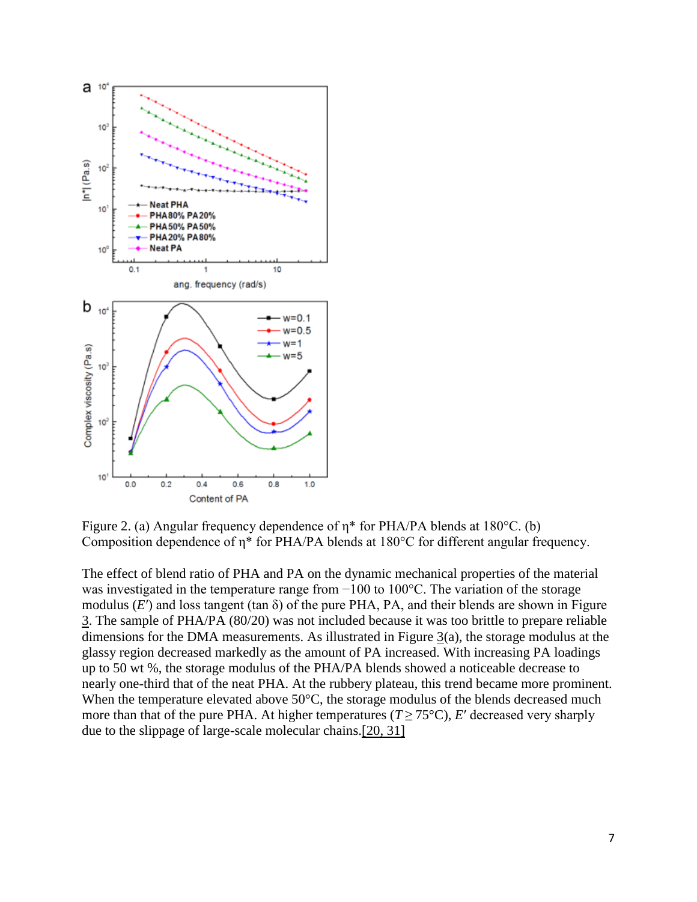

Figure 2. (a) Angular frequency dependence of η\* for PHA/PA blends at 180°C. (b) Composition dependence of η\* for PHA/PA blends at 180°C for different angular frequency.

The effect of blend ratio of PHA and PA on the dynamic mechanical properties of the material was investigated in the temperature range from −100 to 100°C. The variation of the storage modulus (*E*′) and loss tangent (tan δ) of the pure PHA, PA, and their blends are shown in Figure 3. The sample of PHA/PA (80/20) was not included because it was too brittle to prepare reliable dimensions for the DMA measurements. As illustrated in Figure 3(a), the storage modulus at the glassy region decreased markedly as the amount of PA increased. With increasing PA loadings up to 50 wt %, the storage modulus of the PHA/PA blends showed a noticeable decrease to nearly one-third that of the neat PHA. At the rubbery plateau, this trend became more prominent. When the temperature elevated above 50°C, the storage modulus of the blends decreased much more than that of the pure PHA. At higher temperatures ( $T \ge 75^{\circ}$ C), *E'* decreased very sharply due to the slippage of large-scale molecular chains.[20, 31]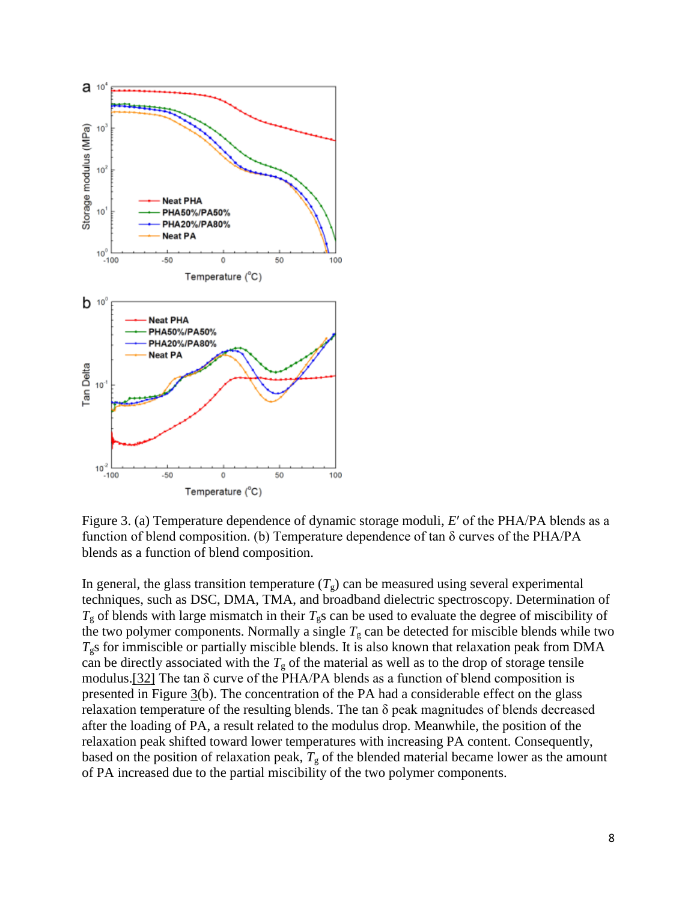

Figure 3. (a) Temperature dependence of dynamic storage moduli, *E*′ of the PHA/PA blends as a function of blend composition. (b) Temperature dependence of tan δ curves of the PHA/PA blends as a function of blend composition.

In general, the glass transition temperature  $(T_g)$  can be measured using several experimental techniques, such as DSC, DMA, TMA, and broadband dielectric spectroscopy. Determination of  $T_{\rm g}$  of blends with large mismatch in their  $T_{\rm g}$ s can be used to evaluate the degree of miscibility of the two polymer components. Normally a single  $T<sub>g</sub>$  can be detected for miscible blends while two  $T_{g}$ s for immiscible or partially miscible blends. It is also known that relaxation peak from DMA can be directly associated with the  $T<sub>g</sub>$  of the material as well as to the drop of storage tensile modulus.[32] The tan δ curve of the PHA/PA blends as a function of blend composition is presented in Figure  $\frac{3}{b}$ . The concentration of the PA had a considerable effect on the glass relaxation temperature of the resulting blends. The tan  $\delta$  peak magnitudes of blends decreased after the loading of PA, a result related to the modulus drop. Meanwhile, the position of the relaxation peak shifted toward lower temperatures with increasing PA content. Consequently, based on the position of relaxation peak,  $T<sub>g</sub>$  of the blended material became lower as the amount of PA increased due to the partial miscibility of the two polymer components.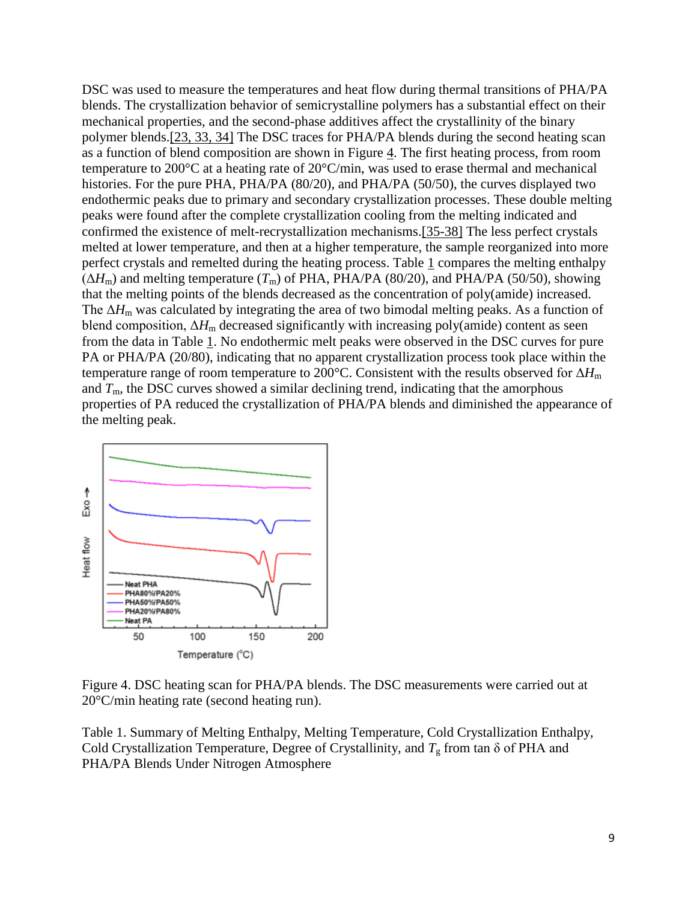DSC was used to measure the temperatures and heat flow during thermal transitions of PHA/PA blends. The crystallization behavior of semicrystalline polymers has a substantial effect on their mechanical properties, and the second-phase additives affect the crystallinity of the binary polymer blends.[23, 33, 34] The DSC traces for PHA/PA blends during the second heating scan as a function of blend composition are shown in Figure 4. The first heating process, from room temperature to 200°C at a heating rate of 20°C/min, was used to erase thermal and mechanical histories. For the pure PHA, PHA/PA (80/20), and PHA/PA (50/50), the curves displayed two endothermic peaks due to primary and secondary crystallization processes. These double melting peaks were found after the complete crystallization cooling from the melting indicated and confirmed the existence of melt-recrystallization mechanisms.[35-38] The less perfect crystals melted at lower temperature, and then at a higher temperature, the sample reorganized into more perfect crystals and remelted during the heating process. Table  $1$  compares the melting enthalpy  $(\Delta H_m)$  and melting temperature  $(T_m)$  of PHA, PHA/PA (80/20), and PHA/PA (50/50), showing that the melting points of the blends decreased as the concentration of poly(amide) increased. The  $\Delta H_{\rm m}$  was calculated by integrating the area of two bimodal melting peaks. As a function of blend composition,  $\Delta H_{\text{m}}$  decreased significantly with increasing poly(amide) content as seen from the data in Table 1. No endothermic melt peaks were observed in the DSC curves for pure PA or PHA/PA (20/80), indicating that no apparent crystallization process took place within the temperature range of room temperature to 200°C. Consistent with the results observed for Δ*H*<sup>m</sup> and  $T<sub>m</sub>$ , the DSC curves showed a similar declining trend, indicating that the amorphous properties of PA reduced the crystallization of PHA/PA blends and diminished the appearance of the melting peak.



Figure 4. DSC heating scan for PHA/PA blends. The DSC measurements were carried out at 20°C/min heating rate (second heating run).

Table 1. Summary of Melting Enthalpy, Melting Temperature, Cold Crystallization Enthalpy, Cold Crystallization Temperature, Degree of Crystallinity, and  $T<sub>g</sub>$  from tan  $\delta$  of PHA and PHA/PA Blends Under Nitrogen Atmosphere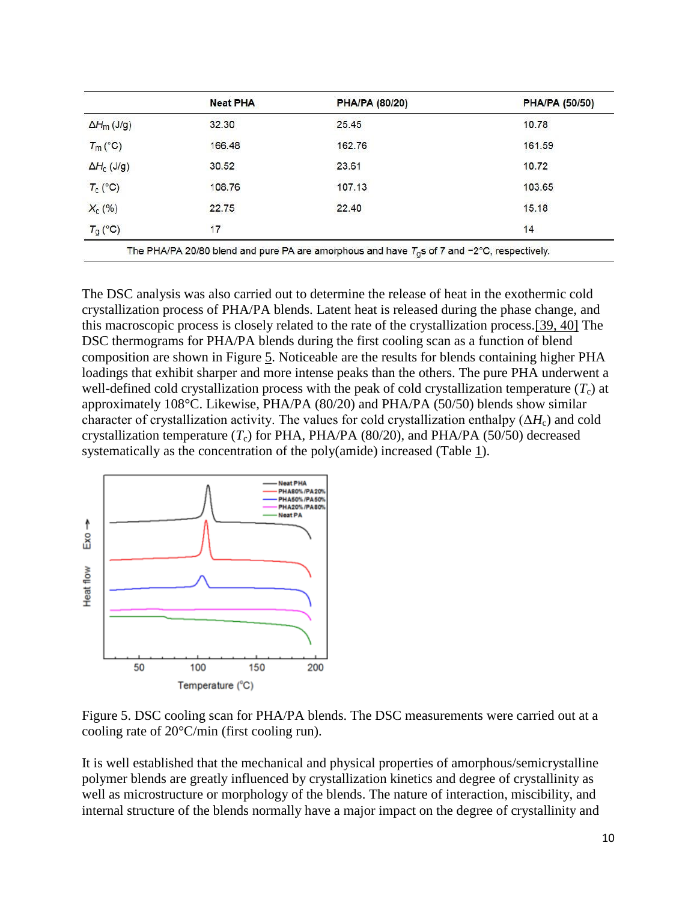|                    | <b>Neat PHA</b> | <b>PHA/PA (80/20)</b> | <b>PHA/PA (50/50)</b> |
|--------------------|-----------------|-----------------------|-----------------------|
| $\Delta H_m$ (J/g) | 32.30           | 25.45                 | 10.78                 |
| $T_m$ (°C)         | 166.48          | 162.76                |                       |
| $\Delta H_c$ (J/g) | 30.52           | 23.61                 | 10.72                 |
| $T_c$ (°C)         | 108.76          | 107.13                | 103.65                |
| $X_c$ (%)          | 22.75           | 15.18<br>22.40        |                       |
| $T_g$ (°C)         | 17              |                       | 14                    |

The DSC analysis was also carried out to determine the release of heat in the exothermic cold crystallization process of PHA/PA blends. Latent heat is released during the phase change, and this macroscopic process is closely related to the rate of the crystallization process.[39, 40] The DSC thermograms for PHA/PA blends during the first cooling scan as a function of blend composition are shown in Figure 5. Noticeable are the results for blends containing higher PHA loadings that exhibit sharper and more intense peaks than the others. The pure PHA underwent a well-defined cold crystallization process with the peak of cold crystallization temperature  $(T_c)$  at approximately 108°C. Likewise, PHA/PA (80/20) and PHA/PA (50/50) blends show similar character of crystallization activity. The values for cold crystallization enthalpy  $(\Delta H_c)$  and cold crystallization temperature  $(T_c)$  for PHA, PHA/PA (80/20), and PHA/PA (50/50) decreased systematically as the concentration of the poly(amide) increased (Table 1).



Figure 5. DSC cooling scan for PHA/PA blends. The DSC measurements were carried out at a cooling rate of 20°C/min (first cooling run).

It is well established that the mechanical and physical properties of amorphous/semicrystalline polymer blends are greatly influenced by crystallization kinetics and degree of crystallinity as well as microstructure or morphology of the blends. The nature of interaction, miscibility, and internal structure of the blends normally have a major impact on the degree of crystallinity and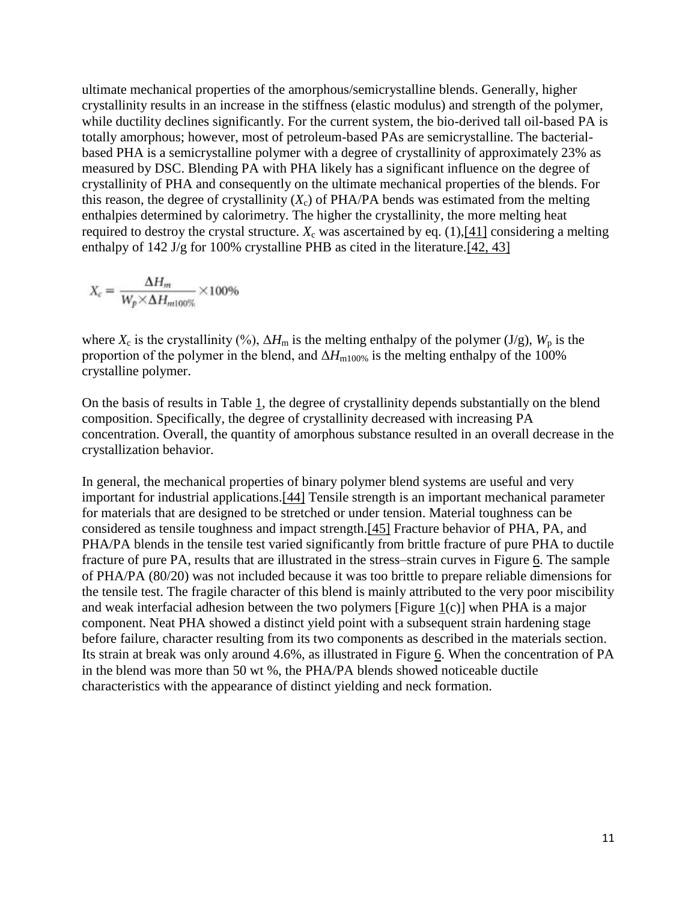ultimate mechanical properties of the amorphous/semicrystalline blends. Generally, higher crystallinity results in an increase in the stiffness (elastic modulus) and strength of the polymer, while ductility declines significantly. For the current system, the bio-derived tall oil-based PA is totally amorphous; however, most of petroleum-based PAs are semicrystalline. The bacterialbased PHA is a semicrystalline polymer with a degree of crystallinity of approximately 23% as measured by DSC. Blending PA with PHA likely has a significant influence on the degree of crystallinity of PHA and consequently on the ultimate mechanical properties of the blends. For this reason, the degree of crystallinity  $(X_c)$  of PHA/PA bends was estimated from the melting enthalpies determined by calorimetry. The higher the crystallinity, the more melting heat required to destroy the crystal structure.  $X_c$  was ascertained by eq. (1),[41] considering a melting enthalpy of 142 J/g for 100% crystalline PHB as cited in the literature. [42, 43]

$$
X_c = \frac{\Delta H_m}{W_p \times \Delta H_{m100\%}} \times 100\%
$$

where  $X_c$  is the crystallinity (%),  $\Delta H_m$  is the melting enthalpy of the polymer (J/g),  $W_p$  is the proportion of the polymer in the blend, and  $\Delta H_{\text{m100%}}$  is the melting enthalpy of the 100% crystalline polymer.

On the basis of results in Table 1, the degree of crystallinity depends substantially on the blend composition. Specifically, the degree of crystallinity decreased with increasing PA concentration. Overall, the quantity of amorphous substance resulted in an overall decrease in the crystallization behavior.

In general, the mechanical properties of binary polymer blend systems are useful and very important for industrial applications.[44] Tensile strength is an important mechanical parameter for materials that are designed to be stretched or under tension. Material toughness can be considered as tensile toughness and impact strength.[45] Fracture behavior of PHA, PA, and PHA/PA blends in the tensile test varied significantly from brittle fracture of pure PHA to ductile fracture of pure PA, results that are illustrated in the stress–strain curves in Figure 6. The sample of PHA/PA (80/20) was not included because it was too brittle to prepare reliable dimensions for the tensile test. The fragile character of this blend is mainly attributed to the very poor miscibility and weak interfacial adhesion between the two polymers [Figure 1(c)] when PHA is a major component. Neat PHA showed a distinct yield point with a subsequent strain hardening stage before failure, character resulting from its two components as described in the materials section. Its strain at break was only around 4.6%, as illustrated in Figure 6. When the concentration of PA in the blend was more than 50 wt %, the PHA/PA blends showed noticeable ductile characteristics with the appearance of distinct yielding and neck formation.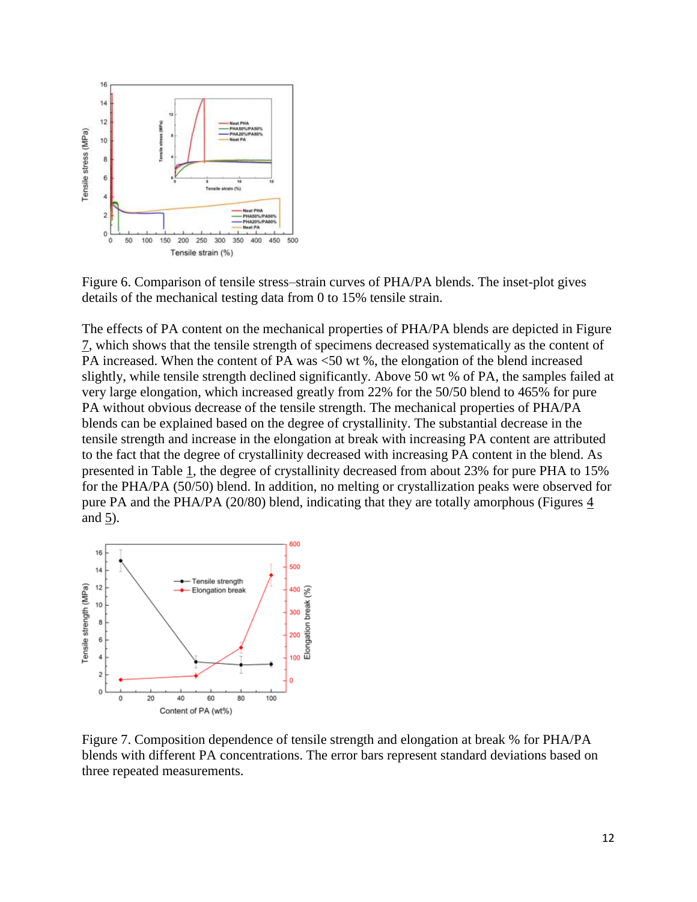

Figure 6. Comparison of tensile stress–strain curves of PHA/PA blends. The inset-plot gives details of the mechanical testing data from 0 to 15% tensile strain.

The effects of PA content on the mechanical properties of PHA/PA blends are depicted in Figure 7, which shows that the tensile strength of specimens decreased systematically as the content of PA increased. When the content of PA was <50 wt %, the elongation of the blend increased slightly, while tensile strength declined significantly. Above 50 wt % of PA, the samples failed at very large elongation, which increased greatly from 22% for the 50/50 blend to 465% for pure PA without obvious decrease of the tensile strength. The mechanical properties of PHA/PA blends can be explained based on the degree of crystallinity. The substantial decrease in the tensile strength and increase in the elongation at break with increasing PA content are attributed to the fact that the degree of crystallinity decreased with increasing PA content in the blend. As presented in Table 1, the degree of crystallinity decreased from about 23% for pure PHA to 15% for the PHA/PA (50/50) blend. In addition, no melting or crystallization peaks were observed for pure PA and the PHA/PA (20/80) blend, indicating that they are totally amorphous (Figures 4 and 5).



Figure 7. Composition dependence of tensile strength and elongation at break % for PHA/PA blends with different PA concentrations. The error bars represent standard deviations based on three repeated measurements.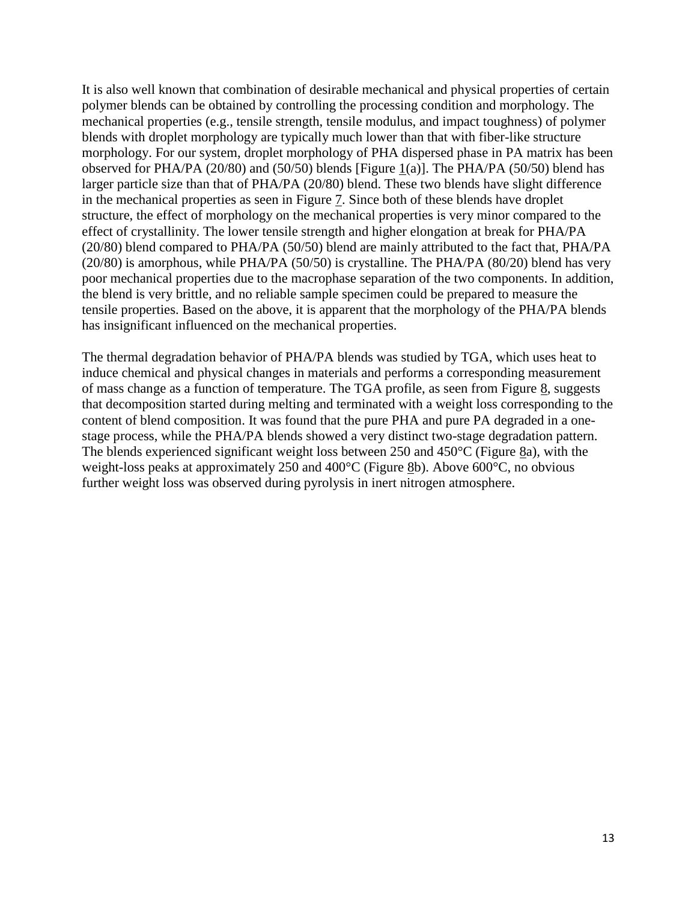It is also well known that combination of desirable mechanical and physical properties of certain polymer blends can be obtained by controlling the processing condition and morphology. The mechanical properties (e.g., tensile strength, tensile modulus, and impact toughness) of polymer blends with droplet morphology are typically much lower than that with fiber-like structure morphology. For our system, droplet morphology of PHA dispersed phase in PA matrix has been observed for PHA/PA (20/80) and (50/50) blends [Figure 1(a)]. The PHA/PA (50/50) blend has larger particle size than that of PHA/PA (20/80) blend. These two blends have slight difference in the mechanical properties as seen in Figure 7. Since both of these blends have droplet structure, the effect of morphology on the mechanical properties is very minor compared to the effect of crystallinity. The lower tensile strength and higher elongation at break for PHA/PA (20/80) blend compared to PHA/PA (50/50) blend are mainly attributed to the fact that, PHA/PA (20/80) is amorphous, while PHA/PA (50/50) is crystalline. The PHA/PA (80/20) blend has very poor mechanical properties due to the macrophase separation of the two components. In addition, the blend is very brittle, and no reliable sample specimen could be prepared to measure the tensile properties. Based on the above, it is apparent that the morphology of the PHA/PA blends has insignificant influenced on the mechanical properties.

The thermal degradation behavior of PHA/PA blends was studied by TGA, which uses heat to induce chemical and physical changes in materials and performs a corresponding measurement of mass change as a function of temperature. The TGA profile, as seen from Figure 8, suggests that decomposition started during melting and terminated with a weight loss corresponding to the content of blend composition. It was found that the pure PHA and pure PA degraded in a onestage process, while the PHA/PA blends showed a very distinct two-stage degradation pattern. The blends experienced significant weight loss between 250 and 450°C (Figure 8a), with the weight-loss peaks at approximately 250 and 400°C (Figure 8b). Above 600°C, no obvious further weight loss was observed during pyrolysis in inert nitrogen atmosphere.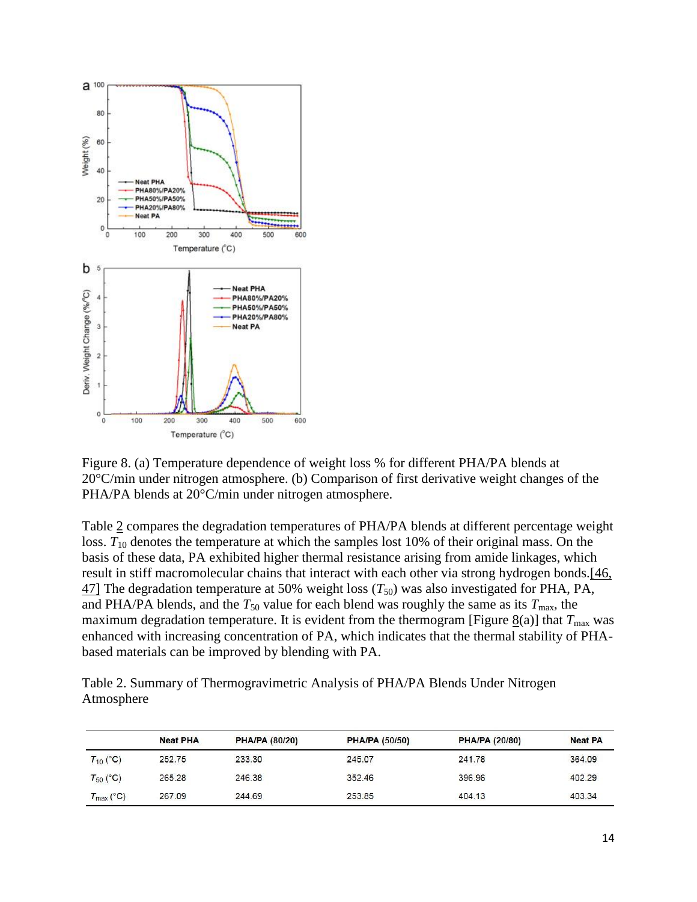

Figure 8. (a) Temperature dependence of weight loss % for different PHA/PA blends at 20°C/min under nitrogen atmosphere. (b) Comparison of first derivative weight changes of the PHA/PA blends at 20°C/min under nitrogen atmosphere.

Table 2 compares the degradation temperatures of PHA/PA blends at different percentage weight loss.  $T_{10}$  denotes the temperature at which the samples lost 10% of their original mass. On the basis of these data, PA exhibited higher thermal resistance arising from amide linkages, which result in stiff macromolecular chains that interact with each other via strong hydrogen bonds.[46,  $47$ ] The degradation temperature at 50% weight loss ( $T_{50}$ ) was also investigated for PHA, PA, and PHA/PA blends, and the  $T_{50}$  value for each blend was roughly the same as its  $T_{\text{max}}$ , the maximum degradation temperature. It is evident from the thermogram [Figure  $\underline{8}(a)$ ] that  $T_{\text{max}}$  was enhanced with increasing concentration of PA, which indicates that the thermal stability of PHAbased materials can be improved by blending with PA.

Table 2. Summary of Thermogravimetric Analysis of PHA/PA Blends Under Nitrogen Atmosphere

|                       | <b>Neat PHA</b> | <b>PHA/PA (80/20)</b> | <b>PHA/PA (50/50)</b> | <b>PHA/PA (20/80)</b> | <b>Neat PA</b> |
|-----------------------|-----------------|-----------------------|-----------------------|-----------------------|----------------|
| $T_{10}$ (°C)         | 252.75          | 233.30                | 245.07                | 241.78                | 364.09         |
| $T_{50}$ (°C)         | 265.28          | 246.38                | 352.46                | 396.96                | 402.29         |
| $T_{\text{max}}$ (°C) | 267.09          | 244.69                | 253.85                | 404.13                | 403.34         |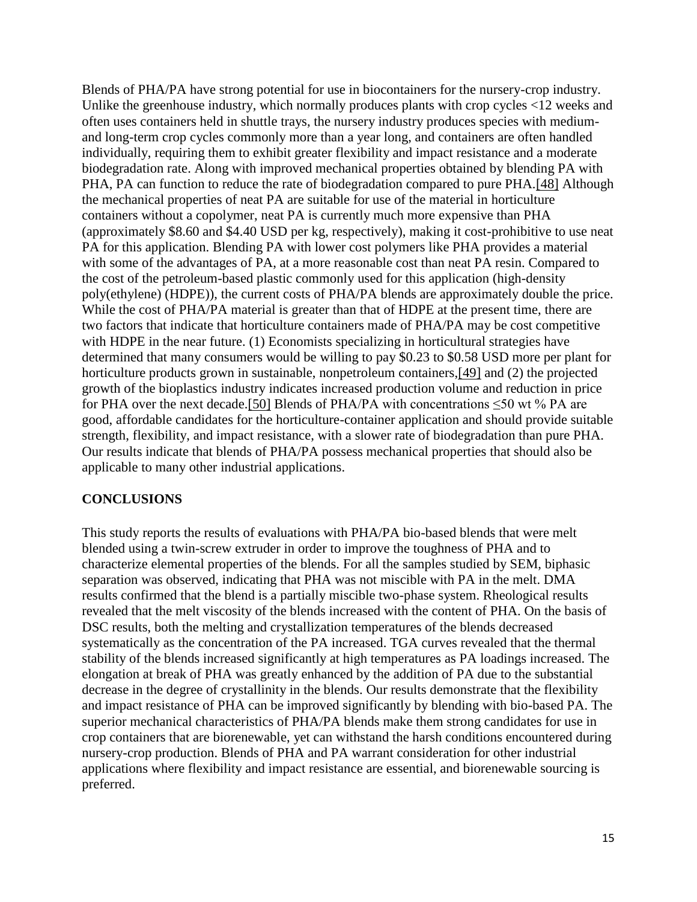Blends of PHA/PA have strong potential for use in biocontainers for the nursery-crop industry. Unlike the greenhouse industry, which normally produces plants with crop cycles <12 weeks and often uses containers held in shuttle trays, the nursery industry produces species with mediumand long-term crop cycles commonly more than a year long, and containers are often handled individually, requiring them to exhibit greater flexibility and impact resistance and a moderate biodegradation rate. Along with improved mechanical properties obtained by blending PA with PHA, PA can function to reduce the rate of biodegradation compared to pure PHA.[48] Although the mechanical properties of neat PA are suitable for use of the material in horticulture containers without a copolymer, neat PA is currently much more expensive than PHA (approximately \$8.60 and \$4.40 USD per kg, respectively), making it cost-prohibitive to use neat PA for this application. Blending PA with lower cost polymers like PHA provides a material with some of the advantages of PA, at a more reasonable cost than neat PA resin. Compared to the cost of the petroleum-based plastic commonly used for this application (high-density poly(ethylene) (HDPE)), the current costs of PHA/PA blends are approximately double the price. While the cost of PHA/PA material is greater than that of HDPE at the present time, there are two factors that indicate that horticulture containers made of PHA/PA may be cost competitive with HDPE in the near future. (1) Economists specializing in horticultural strategies have determined that many consumers would be willing to pay \$0.23 to \$0.58 USD more per plant for horticulture products grown in sustainable, nonpetroleum containers,[49] and (2) the projected growth of the bioplastics industry indicates increased production volume and reduction in price for PHA over the next decade.[50] Blends of PHA/PA with concentrations  $\leq 50$  wt % PA are good, affordable candidates for the horticulture-container application and should provide suitable strength, flexibility, and impact resistance, with a slower rate of biodegradation than pure PHA. Our results indicate that blends of PHA/PA possess mechanical properties that should also be applicable to many other industrial applications.

### **CONCLUSIONS**

This study reports the results of evaluations with PHA/PA bio-based blends that were melt blended using a twin-screw extruder in order to improve the toughness of PHA and to characterize elemental properties of the blends. For all the samples studied by SEM, biphasic separation was observed, indicating that PHA was not miscible with PA in the melt. DMA results confirmed that the blend is a partially miscible two-phase system. Rheological results revealed that the melt viscosity of the blends increased with the content of PHA. On the basis of DSC results, both the melting and crystallization temperatures of the blends decreased systematically as the concentration of the PA increased. TGA curves revealed that the thermal stability of the blends increased significantly at high temperatures as PA loadings increased. The elongation at break of PHA was greatly enhanced by the addition of PA due to the substantial decrease in the degree of crystallinity in the blends. Our results demonstrate that the flexibility and impact resistance of PHA can be improved significantly by blending with bio-based PA. The superior mechanical characteristics of PHA/PA blends make them strong candidates for use in crop containers that are biorenewable, yet can withstand the harsh conditions encountered during nursery-crop production. Blends of PHA and PA warrant consideration for other industrial applications where flexibility and impact resistance are essential, and biorenewable sourcing is preferred.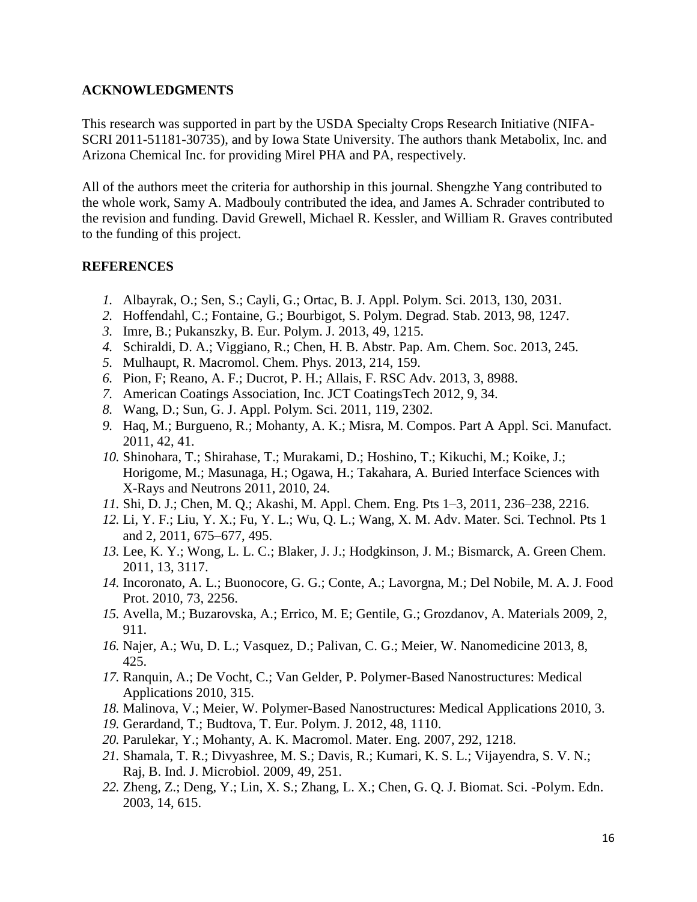#### **ACKNOWLEDGMENTS**

This research was supported in part by the USDA Specialty Crops Research Initiative (NIFA-SCRI 2011-51181-30735), and by Iowa State University. The authors thank Metabolix, Inc. and Arizona Chemical Inc. for providing Mirel PHA and PA, respectively.

All of the authors meet the criteria for authorship in this journal. Shengzhe Yang contributed to the whole work, Samy A. Madbouly contributed the idea, and James A. Schrader contributed to the revision and funding. David Grewell, Michael R. Kessler, and William R. Graves contributed to the funding of this project.

#### **REFERENCES**

- *1.* Albayrak, O.; Sen, S.; Cayli, G.; Ortac, B. J. Appl. Polym. Sci. 2013, 130, 2031.
- *2.* Hoffendahl, C.; Fontaine, G.; Bourbigot, S. Polym. Degrad. Stab. 2013, 98, 1247.
- *3.* Imre, B.; Pukanszky, B. Eur. Polym. J. 2013, 49, 1215.
- *4.* Schiraldi, D. A.; Viggiano, R.; Chen, H. B. Abstr. Pap. Am. Chem. Soc. 2013, 245.
- *5.* Mulhaupt, R. Macromol. Chem. Phys. 2013, 214, 159.
- *6.* Pion, F; Reano, A. F.; Ducrot, P. H.; Allais, F. RSC Adv. 2013, 3, 8988.
- *7.* American Coatings Association, Inc. JCT CoatingsTech 2012, 9, 34.
- *8.* Wang, D.; Sun, G. J. Appl. Polym. Sci. 2011, 119, 2302.
- *9.* Haq, M.; Burgueno, R.; Mohanty, A. K.; Misra, M. Compos. Part A Appl. Sci. Manufact. 2011, 42, 41.
- *10.* Shinohara, T.; Shirahase, T.; Murakami, D.; Hoshino, T.; Kikuchi, M.; Koike, J.; Horigome, M.; Masunaga, H.; Ogawa, H.; Takahara, A. Buried Interface Sciences with X-Rays and Neutrons 2011, 2010, 24.
- *11.* Shi, D. J.; Chen, M. Q.; Akashi, M. Appl. Chem. Eng. Pts 1–3, 2011, 236–238, 2216.
- *12.* Li, Y. F.; Liu, Y. X.; Fu, Y. L.; Wu, Q. L.; Wang, X. M. Adv. Mater. Sci. Technol. Pts 1 and 2, 2011, 675–677, 495.
- *13.* Lee, K. Y.; Wong, L. L. C.; Blaker, J. J.; Hodgkinson, J. M.; Bismarck, A. Green Chem. 2011, 13, 3117.
- *14.* Incoronato, A. L.; Buonocore, G. G.; Conte, A.; Lavorgna, M.; Del Nobile, M. A. J. Food Prot. 2010, 73, 2256.
- *15.* Avella, M.; Buzarovska, A.; Errico, M. E; Gentile, G.; Grozdanov, A. Materials 2009, 2, 911.
- *16.* Najer, A.; Wu, D. L.; Vasquez, D.; Palivan, C. G.; Meier, W. Nanomedicine 2013, 8, 425.
- *17.* Ranquin, A.; De Vocht, C.; Van Gelder, P. Polymer-Based Nanostructures: Medical Applications 2010, 315.
- *18.* Malinova, V.; Meier, W. Polymer-Based Nanostructures: Medical Applications 2010, 3.
- *19.* Gerardand, T.; Budtova, T. Eur. Polym. J. 2012, 48, 1110.
- *20.* Parulekar, Y.; Mohanty, A. K. Macromol. Mater. Eng. 2007, 292, 1218.
- *21.* Shamala, T. R.; Divyashree, M. S.; Davis, R.; Kumari, K. S. L.; Vijayendra, S. V. N.; Raj, B. Ind. J. Microbiol. 2009, 49, 251.
- *22.* Zheng, Z.; Deng, Y.; Lin, X. S.; Zhang, L. X.; Chen, G. Q. J. Biomat. Sci. -Polym. Edn. 2003, 14, 615.